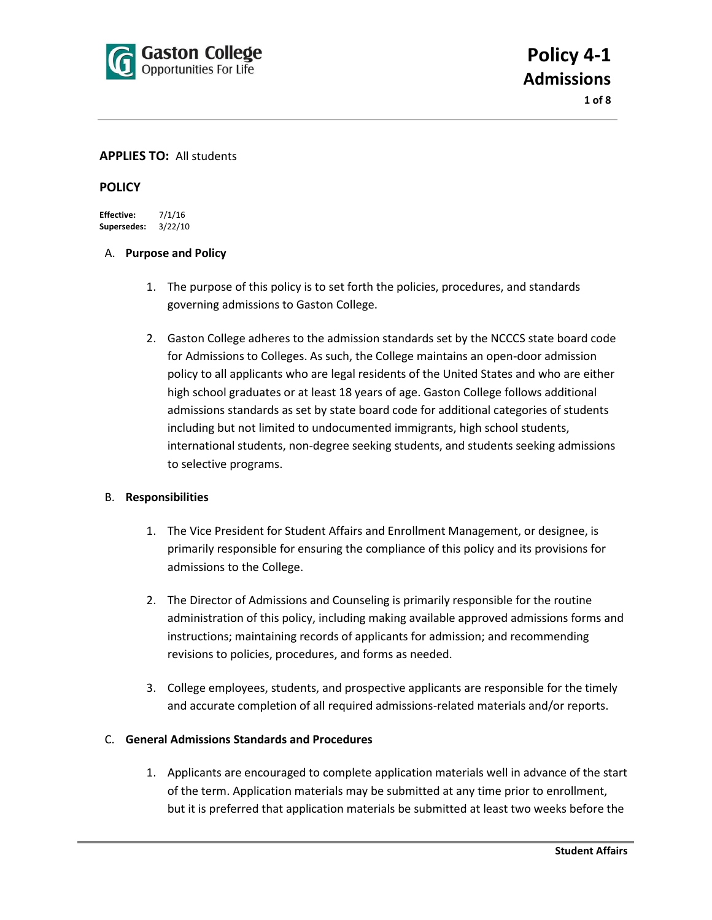

**1 of 8**

#### **APPLIES TO:** All students

#### **POLICY**

**Effective:** 7/1/16 **Supersedes:** 3/22/10

#### A. **Purpose and Policy**

- 1. The purpose of this policy is to set forth the policies, procedures, and standards governing admissions to Gaston College.
- 2. Gaston College adheres to the admission standards set by the NCCCS state board code for Admissions to Colleges. As such, the College maintains an open-door admission policy to all applicants who are legal residents of the United States and who are either high school graduates or at least 18 years of age. Gaston College follows additional admissions standards as set by state board code for additional categories of students including but not limited to undocumented immigrants, high school students, international students, non-degree seeking students, and students seeking admissions to selective programs.

## B. **Responsibilities**

- 1. The Vice President for Student Affairs and Enrollment Management, or designee, is primarily responsible for ensuring the compliance of this policy and its provisions for admissions to the College.
- 2. The Director of Admissions and Counseling is primarily responsible for the routine administration of this policy, including making available approved admissions forms and instructions; maintaining records of applicants for admission; and recommending revisions to policies, procedures, and forms as needed.
- 3. College employees, students, and prospective applicants are responsible for the timely and accurate completion of all required admissions-related materials and/or reports.

## C. **General Admissions Standards and Procedures**

1. Applicants are encouraged to complete application materials well in advance of the start of the term. Application materials may be submitted at any time prior to enrollment, but it is preferred that application materials be submitted at least two weeks before the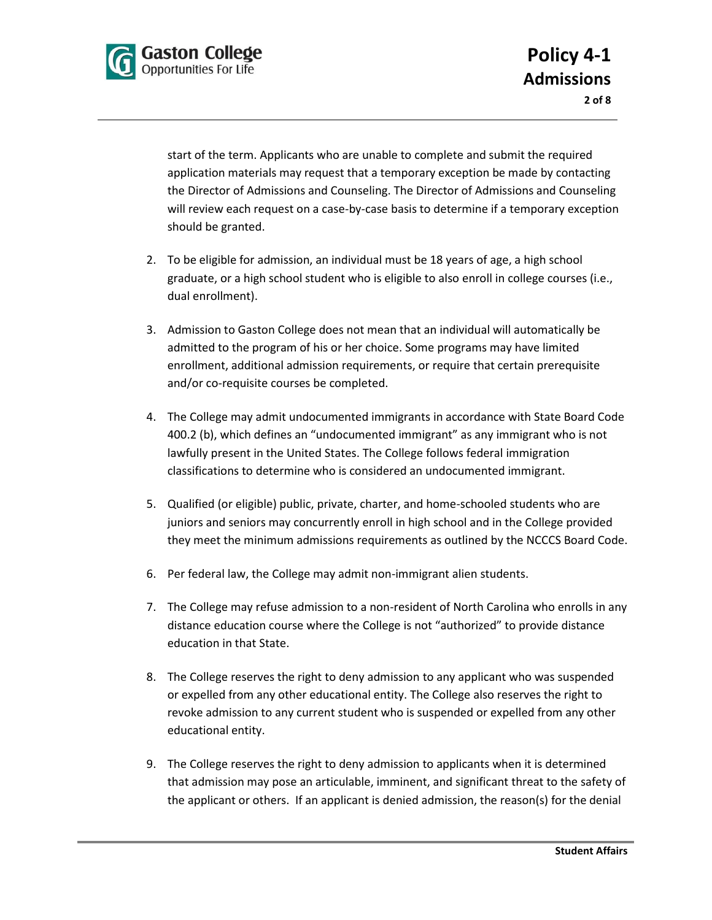

start of the term. Applicants who are unable to complete and submit the required application materials may request that a temporary exception be made by contacting the Director of Admissions and Counseling. The Director of Admissions and Counseling will review each request on a case-by-case basis to determine if a temporary exception should be granted.

- 2. To be eligible for admission, an individual must be 18 years of age, a high school graduate, or a high school student who is eligible to also enroll in college courses (i.e., dual enrollment).
- 3. Admission to Gaston College does not mean that an individual will automatically be admitted to the program of his or her choice. Some programs may have limited enrollment, additional admission requirements, or require that certain prerequisite and/or co-requisite courses be completed.
- 4. The College may admit undocumented immigrants in accordance with State Board Code 400.2 (b), which defines an "undocumented immigrant" as any immigrant who is not lawfully present in the United States. The College follows federal immigration classifications to determine who is considered an undocumented immigrant.
- 5. Qualified (or eligible) public, private, charter, and home-schooled students who are juniors and seniors may concurrently enroll in high school and in the College provided they meet the minimum admissions requirements as outlined by the NCCCS Board Code.
- 6. Per federal law, the College may admit non-immigrant alien students.
- 7. The College may refuse admission to a non-resident of North Carolina who enrolls in any distance education course where the College is not "authorized" to provide distance education in that State.
- 8. The College reserves the right to deny admission to any applicant who was suspended or expelled from any other educational entity. The College also reserves the right to revoke admission to any current student who is suspended or expelled from any other educational entity.
- 9. The College reserves the right to deny admission to applicants when it is determined that admission may pose an articulable, imminent, and significant threat to the safety of the applicant or others. If an applicant is denied admission, the reason(s) for the denial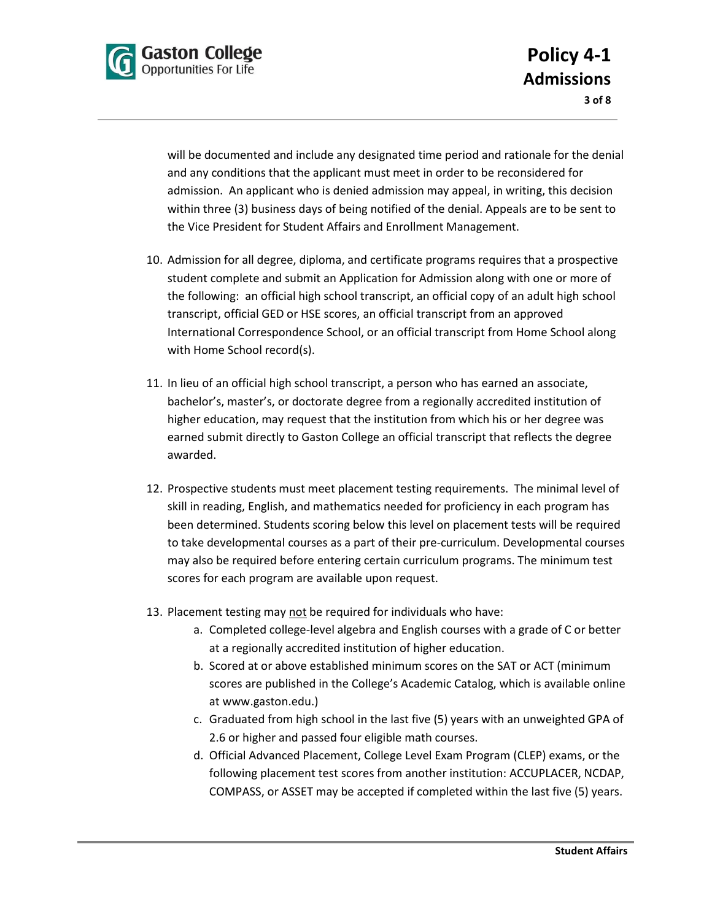

will be documented and include any designated time period and rationale for the denial and any conditions that the applicant must meet in order to be reconsidered for admission. An applicant who is denied admission may appeal, in writing, this decision within three (3) business days of being notified of the denial. Appeals are to be sent to the Vice President for Student Affairs and Enrollment Management.

- 10. Admission for all degree, diploma, and certificate programs requires that a prospective student complete and submit an Application for Admission along with one or more of the following: an official high school transcript, an official copy of an adult high school transcript, official GED or HSE scores, an official transcript from an approved International Correspondence School, or an official transcript from Home School along with Home School record(s).
- 11. In lieu of an official high school transcript, a person who has earned an associate, bachelor's, master's, or doctorate degree from a regionally accredited institution of higher education, may request that the institution from which his or her degree was earned submit directly to Gaston College an official transcript that reflects the degree awarded.
- 12. Prospective students must meet placement testing requirements. The minimal level of skill in reading, English, and mathematics needed for proficiency in each program has been determined. Students scoring below this level on placement tests will be required to take developmental courses as a part of their pre-curriculum. Developmental courses may also be required before entering certain curriculum programs. The minimum test scores for each program are available upon request.
- 13. Placement testing may not be required for individuals who have:
	- a. Completed college-level algebra and English courses with a grade of C or better at a regionally accredited institution of higher education.
	- b. Scored at or above established minimum scores on the SAT or ACT (minimum scores are published in the College's Academic Catalog, which is available online at www.gaston.edu.)
	- c. Graduated from high school in the last five (5) years with an unweighted GPA of 2.6 or higher and passed four eligible math courses.
	- d. Official Advanced Placement, College Level Exam Program (CLEP) exams, or the following placement test scores from another institution: ACCUPLACER, NCDAP, COMPASS, or ASSET may be accepted if completed within the last five (5) years.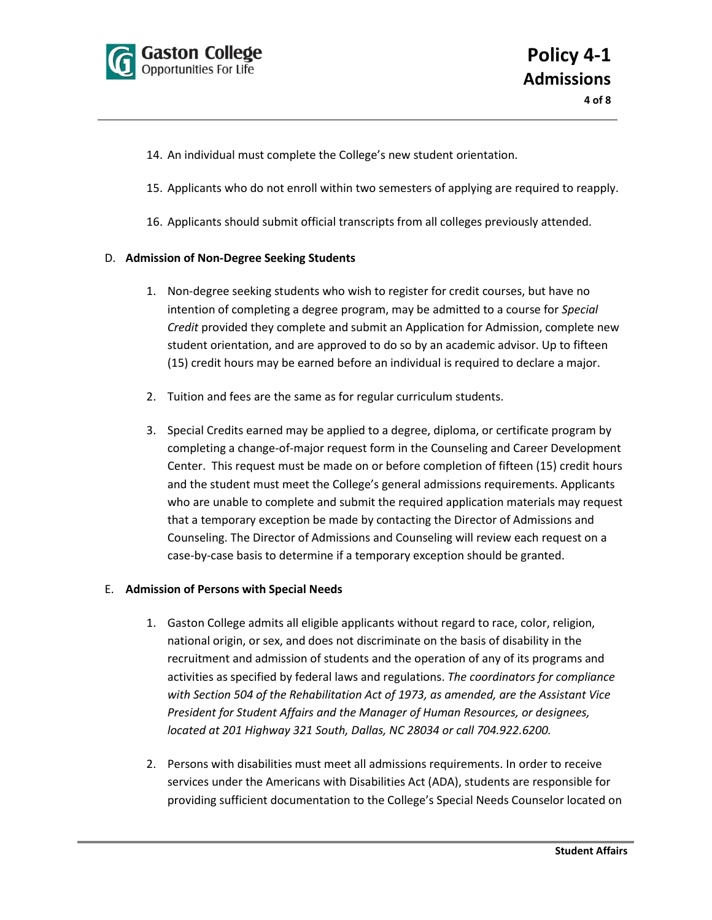

- 14. An individual must complete the College's new student orientation.
- 15. Applicants who do not enroll within two semesters of applying are required to reapply.
- 16. Applicants should submit official transcripts from all colleges previously attended.

#### D. **Admission of Non-Degree Seeking Students**

- 1. Non-degree seeking students who wish to register for credit courses, but have no intention of completing a degree program, may be admitted to a course for *Special Credit* provided they complete and submit an Application for Admission, complete new student orientation, and are approved to do so by an academic advisor. Up to fifteen (15) credit hours may be earned before an individual is required to declare a major.
- 2. Tuition and fees are the same as for regular curriculum students.
- 3. Special Credits earned may be applied to a degree, diploma, or certificate program by completing a change-of-major request form in the Counseling and Career Development Center. This request must be made on or before completion of fifteen (15) credit hours and the student must meet the College's general admissions requirements. Applicants who are unable to complete and submit the required application materials may request that a temporary exception be made by contacting the Director of Admissions and Counseling. The Director of Admissions and Counseling will review each request on a case-by-case basis to determine if a temporary exception should be granted.

#### E. **Admission of Persons with Special Needs**

- 1. Gaston College admits all eligible applicants without regard to race, color, religion, national origin, or sex, and does not discriminate on the basis of disability in the recruitment and admission of students and the operation of any of its programs and activities as specified by federal laws and regulations. *The coordinators for compliance with Section 504 of the Rehabilitation Act of 1973, as amended, are the Assistant Vice President for Student Affairs and the Manager of Human Resources, or designees, located at 201 Highway 321 South, Dallas, NC 28034 or call 704.922.6200.*
- 2. Persons with disabilities must meet all admissions requirements. In order to receive services under the Americans with Disabilities Act (ADA), students are responsible for providing sufficient documentation to the College's Special Needs Counselor located on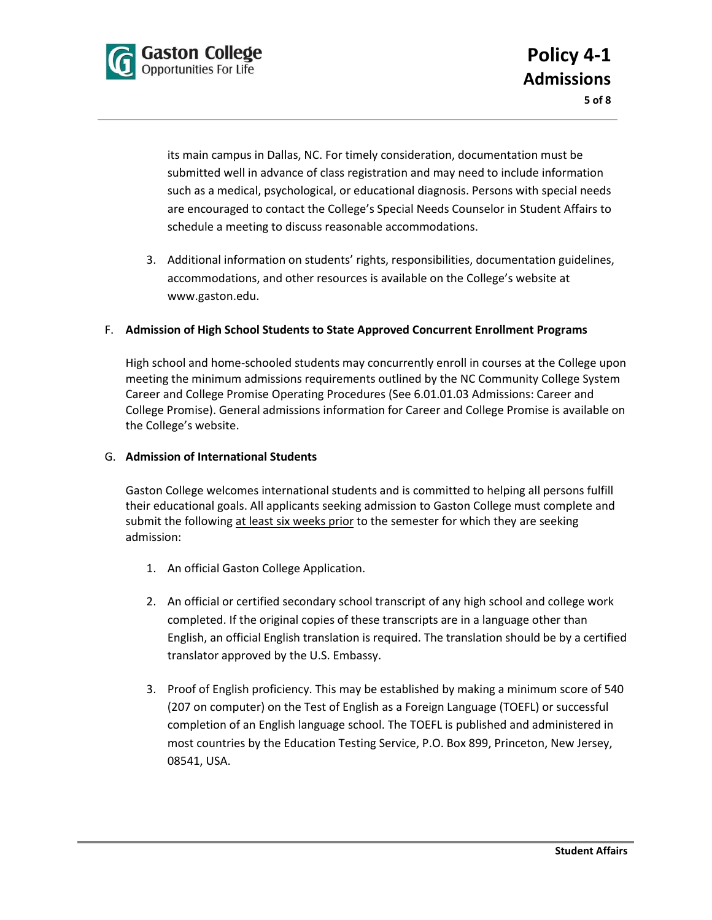

its main campus in Dallas, NC. For timely consideration, documentation must be submitted well in advance of class registration and may need to include information such as a medical, psychological, or educational diagnosis. Persons with special needs are encouraged to contact the College's Special Needs Counselor in Student Affairs to schedule a meeting to discuss reasonable accommodations.

3. Additional information on students' rights, responsibilities, documentation guidelines, accommodations, and other resources is available on the College's website at www.gaston.edu.

## F. **Admission of High School Students to State Approved Concurrent Enrollment Programs**

High school and home-schooled students may concurrently enroll in courses at the College upon meeting the minimum admissions requirements outlined by the NC Community College System Career and College Promise Operating Procedures (See 6.01.01.03 Admissions: Career and College Promise). General admissions information for Career and College Promise is available on the College's website.

#### G. **Admission of International Students**

Gaston College welcomes international students and is committed to helping all persons fulfill their educational goals. All applicants seeking admission to Gaston College must complete and submit the following at least six weeks prior to the semester for which they are seeking admission:

- 1. An official Gaston College Application.
- 2. An official or certified secondary school transcript of any high school and college work completed. If the original copies of these transcripts are in a language other than English, an official English translation is required. The translation should be by a certified translator approved by the U.S. Embassy.
- 3. Proof of English proficiency. This may be established by making a minimum score of 540 (207 on computer) on the Test of English as a Foreign Language (TOEFL) or successful completion of an English language school. The TOEFL is published and administered in most countries by the Education Testing Service, P.O. Box 899, Princeton, New Jersey, 08541, USA.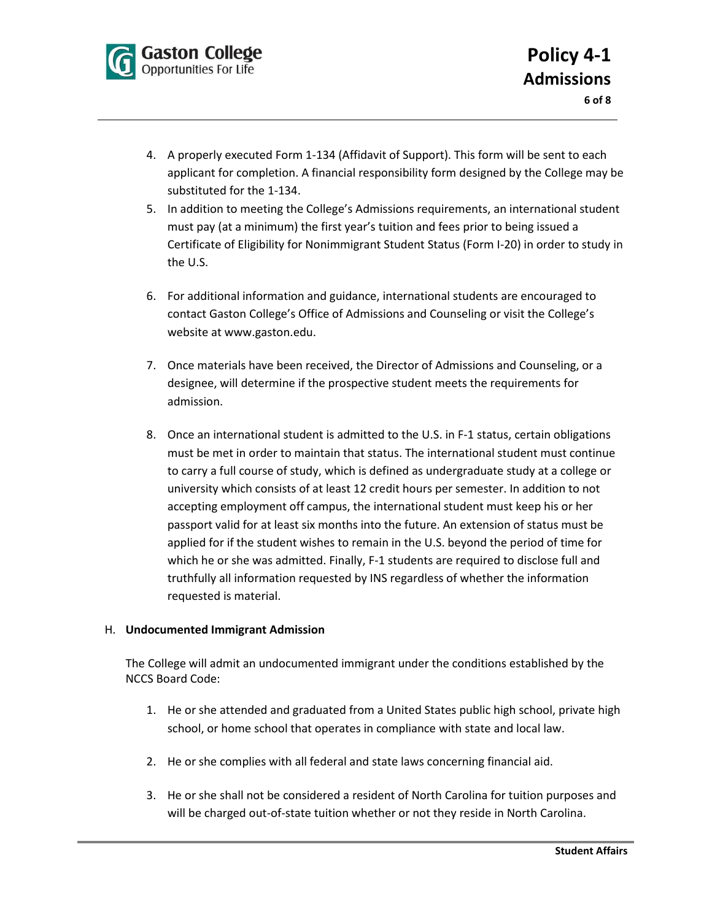

- 4. A properly executed Form 1-134 (Affidavit of Support). This form will be sent to each applicant for completion. A financial responsibility form designed by the College may be substituted for the 1-134.
- 5. In addition to meeting the College's Admissions requirements, an international student must pay (at a minimum) the first year's tuition and fees prior to being issued a Certificate of Eligibility for Nonimmigrant Student Status (Form I-20) in order to study in the U.S.
- 6. For additional information and guidance, international students are encouraged to contact Gaston College's Office of Admissions and Counseling or visit the College's website at www.gaston.edu.
- 7. Once materials have been received, the Director of Admissions and Counseling, or a designee, will determine if the prospective student meets the requirements for admission.
- 8. Once an international student is admitted to the U.S. in F-1 status, certain obligations must be met in order to maintain that status. The international student must continue to carry a full course of study, which is defined as undergraduate study at a college or university which consists of at least 12 credit hours per semester. In addition to not accepting employment off campus, the international student must keep his or her passport valid for at least six months into the future. An extension of status must be applied for if the student wishes to remain in the U.S. beyond the period of time for which he or she was admitted. Finally, F-1 students are required to disclose full and truthfully all information requested by INS regardless of whether the information requested is material.

## H. **Undocumented Immigrant Admission**

The College will admit an undocumented immigrant under the conditions established by the NCCS Board Code:

- 1. He or she attended and graduated from a United States public high school, private high school, or home school that operates in compliance with state and local law.
- 2. He or she complies with all federal and state laws concerning financial aid.
- 3. He or she shall not be considered a resident of North Carolina for tuition purposes and will be charged out-of-state tuition whether or not they reside in North Carolina.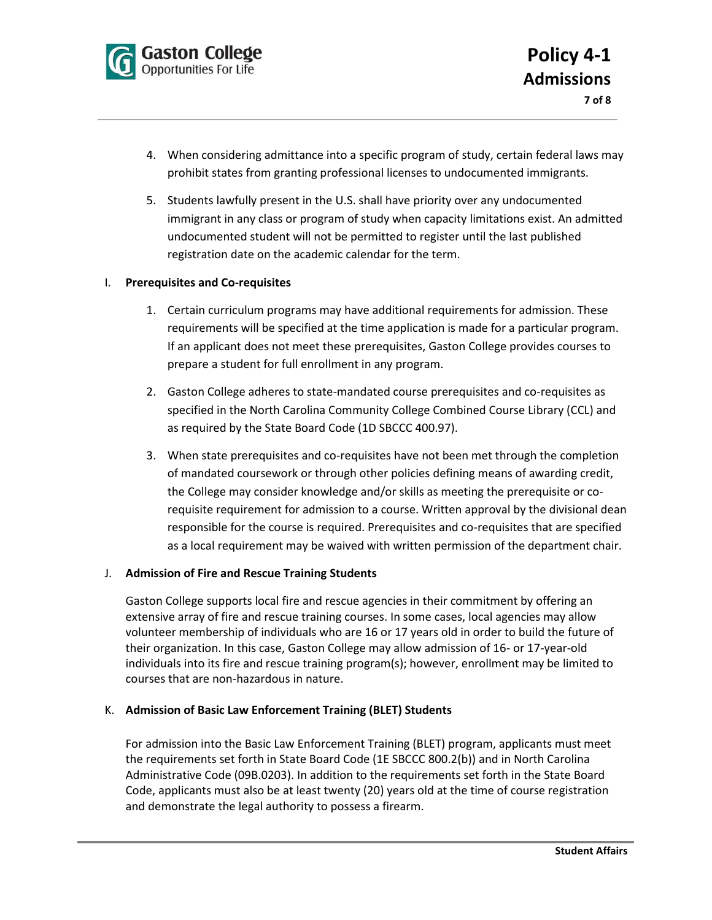

- 4. When considering admittance into a specific program of study, certain federal laws may prohibit states from granting professional licenses to undocumented immigrants.
- 5. Students lawfully present in the U.S. shall have priority over any undocumented immigrant in any class or program of study when capacity limitations exist. An admitted undocumented student will not be permitted to register until the last published registration date on the academic calendar for the term.

#### I. **Prerequisites and Co-requisites**

- 1. Certain curriculum programs may have additional requirements for admission. These requirements will be specified at the time application is made for a particular program. If an applicant does not meet these prerequisites, Gaston College provides courses to prepare a student for full enrollment in any program.
- 2. Gaston College adheres to state-mandated course prerequisites and co-requisites as specified in the North Carolina Community College Combined Course Library (CCL) and as required by the State Board Code (1D SBCCC 400.97).
- 3. When state prerequisites and co-requisites have not been met through the completion of mandated coursework or through other policies defining means of awarding credit, the College may consider knowledge and/or skills as meeting the prerequisite or corequisite requirement for admission to a course. Written approval by the divisional dean responsible for the course is required. Prerequisites and co-requisites that are specified as a local requirement may be waived with written permission of the department chair.

#### J. **Admission of Fire and Rescue Training Students**

Gaston College supports local fire and rescue agencies in their commitment by offering an extensive array of fire and rescue training courses. In some cases, local agencies may allow volunteer membership of individuals who are 16 or 17 years old in order to build the future of their organization. In this case, Gaston College may allow admission of 16- or 17-year-old individuals into its fire and rescue training program(s); however, enrollment may be limited to courses that are non-hazardous in nature.

#### K. **Admission of Basic Law Enforcement Training (BLET) Students**

For admission into the Basic Law Enforcement Training (BLET) program, applicants must meet the requirements set forth in State Board Code (1E SBCCC 800.2(b)) and in North Carolina Administrative Code (09B.0203). In addition to the requirements set forth in the State Board Code, applicants must also be at least twenty (20) years old at the time of course registration and demonstrate the legal authority to possess a firearm.